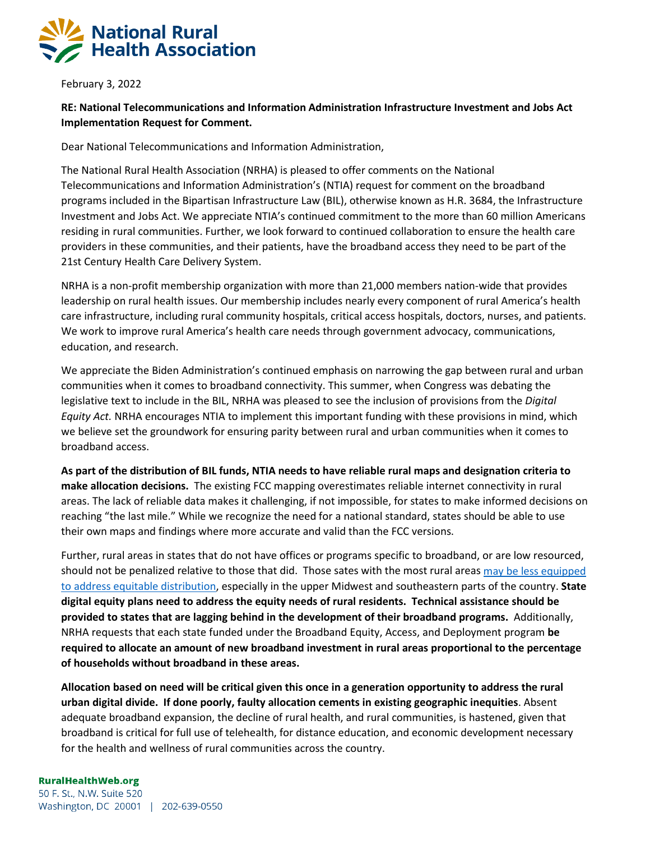

February 3, 2022

## **RE: National Telecommunications and Information Administration Infrastructure Investment and Jobs Act Implementation Request for Comment.**

Dear National Telecommunications and Information Administration,

The National Rural Health Association (NRHA) is pleased to offer comments on the National Telecommunications and Information Administration's (NTIA) request for comment on the broadband programs included in the Bipartisan Infrastructure Law (BIL), otherwise known as H.R. 3684, the Infrastructure Investment and Jobs Act. We appreciate NTIA's continued commitment to the more than 60 million Americans residing in rural communities. Further, we look forward to continued collaboration to ensure the health care providers in these communities, and their patients, have the broadband access they need to be part of the 21st Century Health Care Delivery System.

NRHA is a non-profit membership organization with more than 21,000 members nation-wide that provides leadership on rural health issues. Our membership includes nearly every component of rural America's health care infrastructure, including rural community hospitals, critical access hospitals, doctors, nurses, and patients. We work to improve rural America's health care needs through government advocacy, communications, education, and research.

We appreciate the Biden Administration's continued emphasis on narrowing the gap between rural and urban communities when it comes to broadband connectivity. This summer, when Congress was debating the legislative text to include in the BIL, NRHA was pleased to see the inclusion of provisions from the *Digital Equity Act.* NRHA encourages NTIA to implement this important funding with these provisions in mind, which we believe set the groundwork for ensuring parity between rural and urban communities when it comes to broadband access.

**As part of the distribution of BIL funds, NTIA needs to have reliable rural maps and designation criteria to make allocation decisions.** The existing FCC mapping overestimates reliable internet connectivity in rural areas. The lack of reliable data makes it challenging, if not impossible, for states to make informed decisions on reaching "the last mile." While we recognize the need for a national standard, states should be able to use their own maps and findings where more accurate and valid than the FCC versions.

Further, rural areas in states that do not have offices or programs specific to broadband, or are low resourced, should not be penalized relative to those that did. Those sates with the most rural area[s may be less equipped](https://www.pewtrusts.org/en/research-and-analysis/articles/2021/06/28/which-states-have-dedicated-broadband-offices-task-forces-agencies-or-funds)  [to address equitable distribution,](https://www.pewtrusts.org/en/research-and-analysis/articles/2021/06/28/which-states-have-dedicated-broadband-offices-task-forces-agencies-or-funds) especially in the upper Midwest and southeastern parts of the country. **State digital equity plans need to address the equity needs of rural residents. Technical assistance should be provided to states that are lagging behind in the development of their broadband programs.** Additionally, NRHA requests that each state funded under the Broadband Equity, Access, and Deployment program **be required to allocate an amount of new broadband investment in rural areas proportional to the percentage of households without broadband in these areas.**

**Allocation based on need will be critical given this once in a generation opportunity to address the rural urban digital divide. If done poorly, faulty allocation cements in existing geographic inequities**. Absent adequate broadband expansion, the decline of rural health, and rural communities, is hastened, given that broadband is critical for full use of telehealth, for distance education, and economic development necessary for the health and wellness of rural communities across the country.

## **RuralHealthWeb.org**